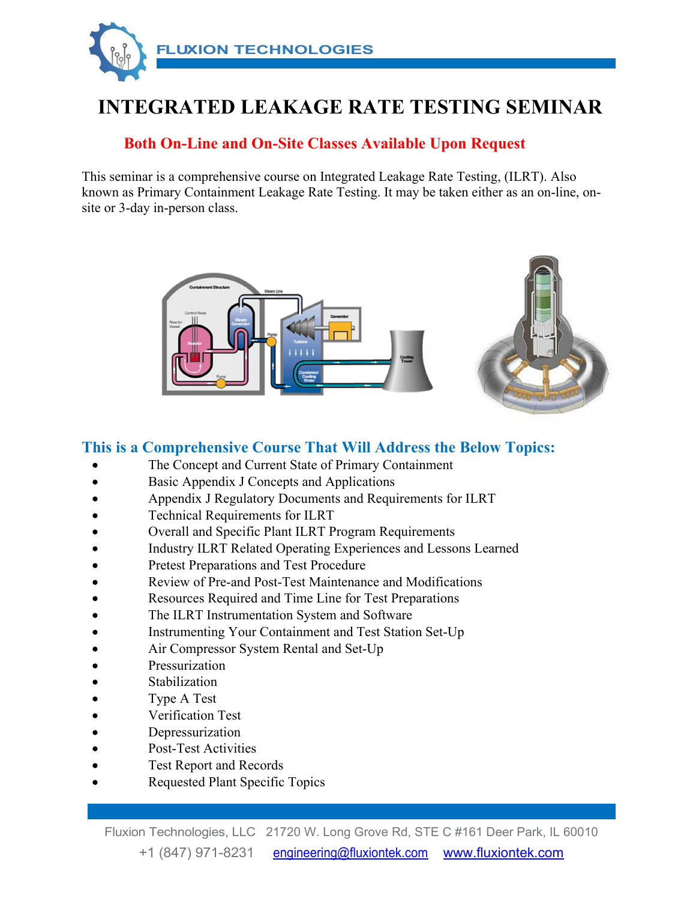

# **INTEGRATED LEAKAGE RATE TESTING SEMINAR**

#### **Both On-Line and On-Site Classes Available Upon Request**

This seminar is a comprehensive course on Integrated Leakage Rate Testing, (ILRT). Also known as Primary Containment Leakage Rate Testing. It may be taken either as an on-line, onsite or 3-day in-person class.



#### **This is a Comprehensive Course That Will Address the Below Topics:**

- The Concept and Current State of Primary Containment
- Basic Appendix J Concepts and Applications
- Appendix J Regulatory Documents and Requirements for ILRT
- Technical Requirements for ILRT
- Overall and Specific Plant ILRT Program Requirements
- Industry ILRT Related Operating Experiences and Lessons Learned
- Pretest Preparations and Test Procedure
- Review of Pre-and Post-Test Maintenance and Modifications
- Resources Required and Time Line for Test Preparations
- The ILRT Instrumentation System and Software
- Instrumenting Your Containment and Test Station Set-Up
- Air Compressor System Rental and Set-Up
- Pressurization
- Stabilization
- Type A Test
- Verification Test
- Depressurization
- Post-Test Activities
- Test Report and Records
- Requested Plant Specific Topics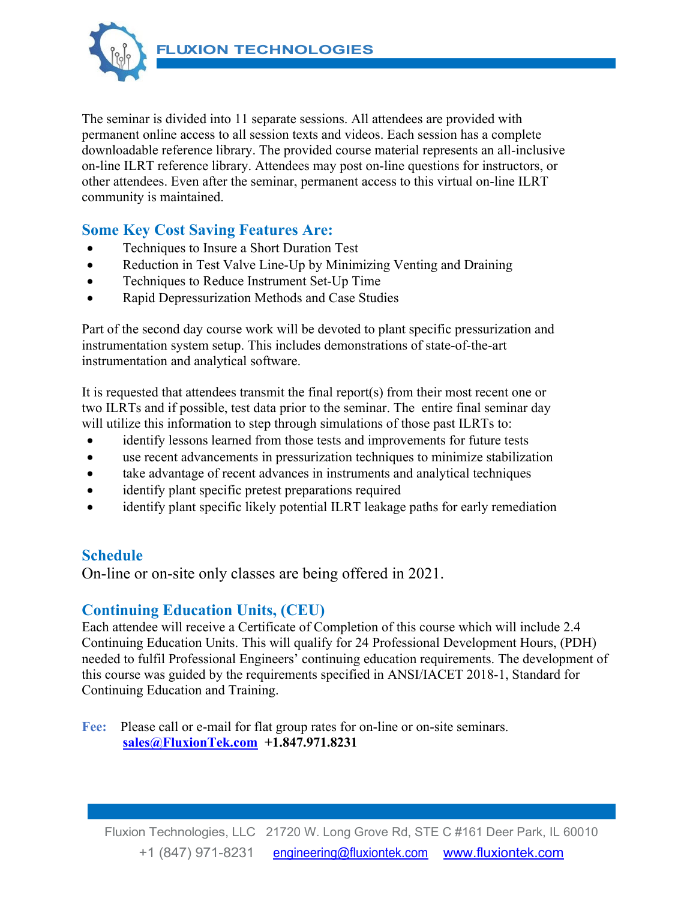**FLUXION TECHNOLOGIES** 



The seminar is divided into 11 separate sessions. All attendees are provided with permanent online access to all session texts and videos. Each session has a complete downloadable reference library. The provided course material represents an all-inclusive on-line ILRT reference library. Attendees may post on-line questions for instructors, or other attendees. Even after the seminar, permanent access to this virtual on-line ILRT community is maintained.

#### **Some Key Cost Saving Features Are:**

- Techniques to Insure a Short Duration Test
- Reduction in Test Valve Line-Up by Minimizing Venting and Draining
- Techniques to Reduce Instrument Set-Up Time
- Rapid Depressurization Methods and Case Studies

Part of the second day course work will be devoted to plant specific pressurization and instrumentation system setup. This includes demonstrations of state-of-the-art instrumentation and analytical software.

It is requested that attendees transmit the final report(s) from their most recent one or two ILRTs and if possible, test data prior to the seminar. The entire final seminar day will utilize this information to step through simulations of those past ILRTs to:

- identify lessons learned from those tests and improvements for future tests
- use recent advancements in pressurization techniques to minimize stabilization
- take advantage of recent advances in instruments and analytical techniques
- identify plant specific pretest preparations required
- identify plant specific likely potential ILRT leakage paths for early remediation

### **Schedule**

On-line or on-site only classes are being offered in 2021.

#### **Continuing Education Units, (CEU)**

Each attendee will receive a Certificate of Completion of this course which will include 2.4 Continuing Education Units. This will qualify for 24 Professional Development Hours, (PDH) needed to fulfil Professional Engineers' continuing education requirements. The development of this course was guided by the requirements specified in ANSI/IACET 2018-1, Standard for Continuing Education and Training.

**Fee:** Please call or e-mail for flat group rates for on-line or on-site seminars. **sales@FluxionTek.com +1.847.971.8231**